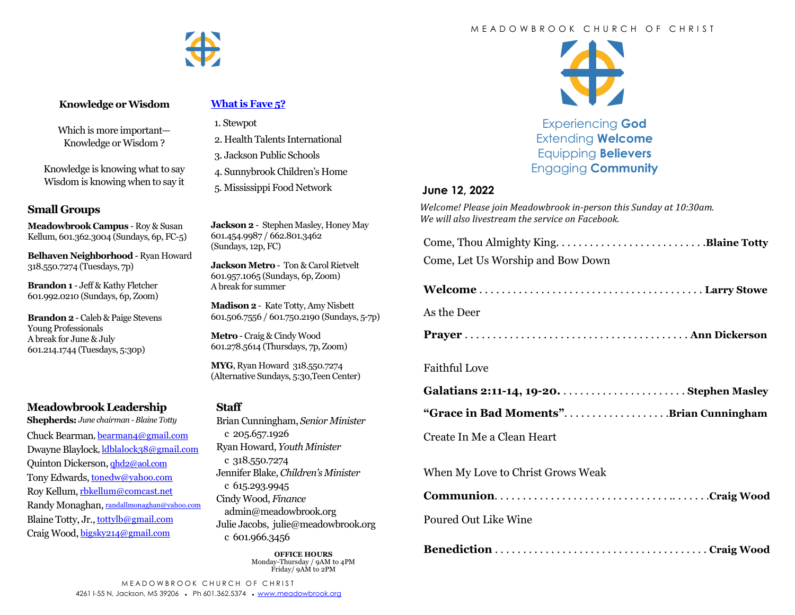

#### **Knowledge or Wisdom**

Which is more important— Knowledge or Wisdom ?

Knowledge is knowing what to say Wisdom is knowing when to say it

### **Small Groups**

**Meadowbrook Campus** - Roy & Susan Kellum, 601.362.3004 (Sundays, 6p, FC-5)

**Belhaven Neighborhood** - Ryan Howard 318.550.7274 (Tuesdays, 7p)

**Brandon 1** - Jeff & Kathy Fletcher 601.992.0210 (Sundays, 6p, Zoom)

**Brandon 2** - Caleb & Paige Stevens Young Professionals A break for June & July 601.214.1744 (Tuesdays, 5:30p)

# **Meadowbrook Leadership**

**Shepherds:** *June chairman -Blaine Totty* Chuck Bearman, [bearman4@gmail.com](mailto:bearman4@gmail.com) Dwayne Blaylock, [ldblalock38@gmail.com](mailto:ldblaylock38@gmail.com) Quinton Dickerson, [qhd2@aol.com](mailto:qhd2@aol.com) Tony Edwards, [tonedw@yahoo.com](mailto:tonedw@yahoo.com) Roy Kellum, [rbkellum@comcast.net](mailto:rbkellum@comcast.net) Randy Monaghan, [randallmonaghan@yahoo.com](mailto:randallmonaghan@yahoo.com) Blaine Totty, Jr., [tottylb@gmail.com](mailto:tottylb@gmail.com) Craig Wood, [bigsky214@gmail.com](mailto:bigsky214@gmail.com)

### **[What is Fave 5?](https://meadowbrook.ccbchurch.com/group_detail.php?group_id=131)**

- 1. Stewpot
- 2. Health Talents International
- 3. Jackson Public Schools
- 4. Sunnybrook Children's Home
- 5. Mississippi Food Network

**Jackson 2** - Stephen Masley, Honey May 601.454.9987 / 662.801.3462 (Sundays, 12p, FC)

**Jackson Metro** - Ton & Carol Rietvelt 601.957.1065 (Sundays, 6p, Zoom) A break for summer

**Madison 2**- Kate Totty, Amy Nisbett 601.506.7556 / 601.750.2190 (Sundays, 5-7p)

**Metro** - Craig & Cindy Wood 601.278.5614 (Thursdays, 7p, Zoom)

**MYG**, Ryan Howard 318.550.7274 (Alternative Sundays, 5:30,Teen Center)

### **Staff**

Brian Cunningham, *Senior Minister*  c 205.657.1926 Ryan Howard, *Youth Minister*  c 318.550.7274 Jennifer Blake, *Children's Minister*  c 615.293.9945 Cindy Wood, *Finance*  admin@meadowbrook.org Julie Jacobs, julie@meadowbrook.org c 601.966.3456

> **OFFICE HOURS** Monday-Thursday / 9AM to 4PM Friday/ 9AM to 2PM



Experiencing **God** Extending **Welcome** Equipping **Believers** Engaging **Community**

### **June 12, 2022**

*Welcome! Please join Meadowbrook in-person this Sunday at 10:30am. We will also livestream the service on Facebook.*

| Come, Let Us Worship and Bow Down |  |
|-----------------------------------|--|

As the Deer

**Prayer** . . . . . . . . . . . . . . . . . . . . . . . . . . . . . . . . . . . . . . . . **Ann Dickerson**

# Faithful Love

|--|--|

**"Grace in Bad Moments"**. . . . . . . . . . . . . . . . . . .**Brian Cunningham**

Create In Me a Clean Heart

When My Love to Christ Grows Weak

|--|--|

### Poured Out Like Wine

|--|--|

#### M E A D O W B R O O K C H U R C H O F C H R I S T